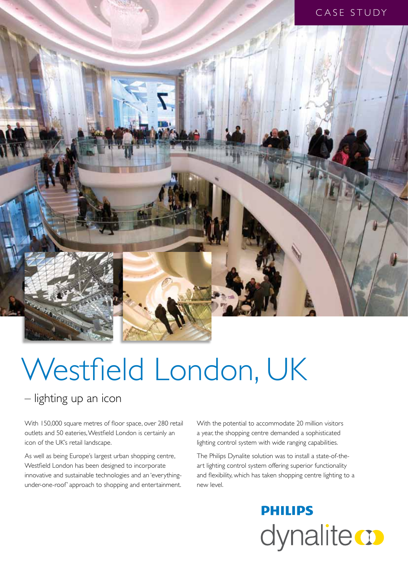

# Westfield London, UK

– lighting up an icon

With 150,000 square metres of floor space, over 280 retail outlets and 50 eateries, Westfield London is certainly an icon of the UK's retail landscape.

As well as being Europe's largest urban shopping centre, Westfield London has been designed to incorporate innovative and sustainable technologies and an 'everythingunder-one-roof' approach to shopping and entertainment.

With the potential to accommodate 20 million visitors a year, the shopping centre demanded a sophisticated lighting control system with wide ranging capabilities.

The Philips Dynalite solution was to install a state-of-theart lighting control system offering superior functionality and flexibility, which has taken shopping centre lighting to a new level.

> **PHILIPS** dynalite **o**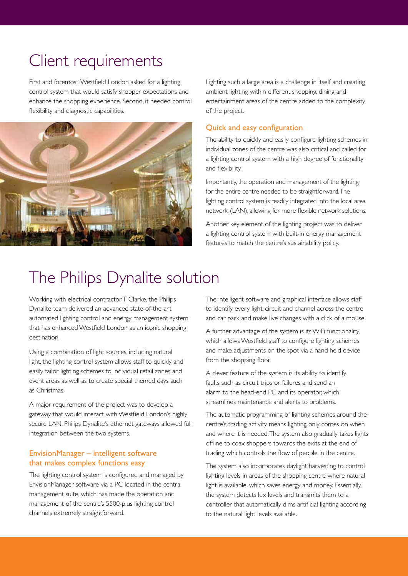# Client requirements

First and foremost, Westfield London asked for a lighting control system that would satisfy shopper expectations and enhance the shopping experience. Second, it needed control flexibility and diagnostic capabilities.



Lighting such a large area is a challenge in itself and creating ambient lighting within different shopping, dining and entertainment areas of the centre added to the complexity of the project.

# Quick and easy configuration

The ability to quickly and easily configure lighting schemes in individual zones of the centre was also critical and called for a lighting control system with a high degree of functionality and flexibility.

Importantly, the operation and management of the lighting for the entire centre needed to be straightforward. The lighting control system is readily integrated into the local area network (LAN), allowing for more flexible network solutions.

Another key element of the lighting project was to deliver a lighting control system with built-in energy management features to match the centre's sustainability policy.

# The Philips Dynalite solution

Working with electrical contractor T Clarke, the Philips Dynalite team delivered an advanced state-of-the-art automated lighting control and energy management system that has enhanced Westfield London as an iconic shopping destination.

Using a combination of light sources, including natural light, the lighting control system allows staff to quickly and easily tailor lighting schemes to individual retail zones and event areas as well as to create special themed days such as Christmas.

A major requirement of the project was to develop a gateway that would interact with Westfield London's highly secure LAN. Philips Dynalite's ethernet gateways allowed full integration between the two systems.

# EnvisionManager – intelligent software that makes complex functions easy

The lighting control system is configured and managed by EnvisionManager software via a PC located in the central management suite, which has made the operation and management of the centre's 5500-plus lighting control channels extremely straightforward.

The intelligent software and graphical interface allows staff to identify every light, circuit and channel across the centre and car park and make live changes with a click of a mouse.

A further advantage of the system is its WiFi functionality, which allows Westfield staff to configure lighting schemes and make adjustments on the spot via a hand held device from the shopping floor.

A clever feature of the system is its ability to identify faults such as circuit trips or failures and send an alarm to the head-end PC and its operator, which streamlines maintenance and alerts to problems.

The automatic programming of lighting schemes around the centre's trading activity means lighting only comes on when and where it is needed. The system also gradually takes lights offline to coax shoppers towards the exits at the end of trading which controls the flow of people in the centre.

The system also incorporates daylight harvesting to control lighting levels in areas of the shopping centre where natural light is available, which saves energy and money. Essentially, the system detects lux levels and transmits them to a controller that automatically dims artificial lighting according to the natural light levels available.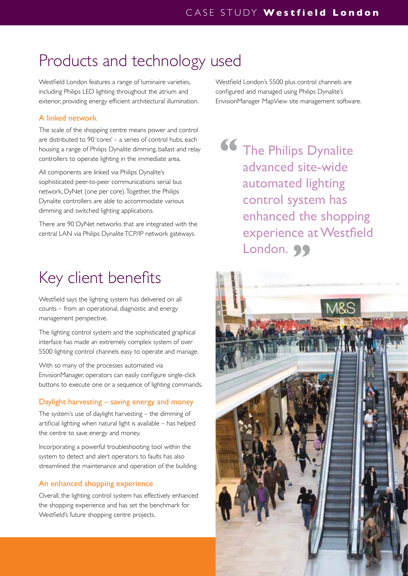# Products and technology used

Westfield London features a range of luminaire varieties, including Philips LED lighting throughout the atrium and exterior, providing energy efficient architectural illumination.

# A linked network

The scale of the shopping centre means power and control are distributed to 90 'cores' – a series of control hubs, each housing a range of Philips Dynalite dimming, ballast and relay controllers to operate lighting in the immediate area.

All components are linked via Philips Dynalite's sophisticated peer-to-peer communications serial bus network, DyNet (one per core). Together, the Philips Dynalite controllers are able to accommodate various dimming and switched lighting applications.

There are 90 DyNet networks that are integrated with the central LAN via Philips Dynalite TCP/IP network gateways.

# Key client benefits

Westfield says the lighting system has delivered on all counts – from an operational, diagnostic and energy management perspective.

The lighting control system and the sophisticated graphical interface has made an extremely complex system of over 5500 lighting control channels easy to operate and manage.

With so many of the processes automated via EnvisionManager, operators can easily configure single-click buttons to execute one or a sequence of lighting commands.

# Daylight harvesting – saving energy and money

The system's use of daylight harvesting – the dimming of artificial lighting when natural light is available – has helped the centre to save energy and money.

Incorporating a powerful troubleshooting tool within the system to detect and alert operators to faults has also streamlined the maintenance and operation of the building.

# An enhanced shopping experience

Overall, the lighting control system has effectively enhanced the shopping experience and has set the benchmark for Westfield's future shopping centre projects.

Westfield London's 5500 plus control channels are configured and managed using Philips Dynalite's EnvisionManager MapView site management software.

**66** The Philips Dynalite advanced site-wide automated lighting control system has enhanced the shopping experience at Westfield London. 99